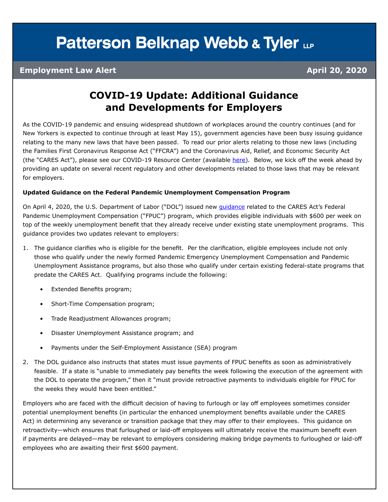# **Patterson Belknap Webb & Tyler LLP**

### **Employment Law Alert April 20, 2020**

### **COVID-19 Update: Additional Guidance and Developments for Employers**

As the COVID-19 pandemic and ensuing widespread shutdown of workplaces around the country continues (and for New Yorkers is expected to continue through at least May 15), government agencies have been busy issuing guidance relating to the many new laws that have been passed. To read our prior alerts relating to those new laws (including the Families First Coronavirus Response Act ("FFCRA") and the Coronavirus Aid, Relief, and Economic Security Act (the "CARES Act"), please see our COVID-19 Resource Center (available [here](https://www.pbwt.com/publications/coronavirus-covid-19-resource-center/)). Below, we kick off the week ahead by providing an update on several recent regulatory and other developments related to those laws that may be relevant for employers.

#### **Updated Guidance on the Federal Pandemic Unemployment Compensation Program**

On April 4, 2020, the U.S. Department of Labor ("DOL") issued new *[guidance](https://www.dol.gov/newsroom/releases/eta/eta20200404)* related to the CARES Act's Federal Pandemic Unemployment Compensation ("FPUC") program, which provides eligible individuals with \$600 per week on top of the weekly unemployment benefit that they already receive under existing state unemployment programs. This guidance provides two updates relevant to employers:

- 1. The guidance clarifies who is eligible for the benefit. Per the clarification, eligible employees include not only those who qualify under the newly formed Pandemic Emergency Unemployment Compensation and Pandemic Unemployment Assistance programs, but also those who qualify under certain existing federal-state programs that predate the CARES Act. Qualifying programs include the following:
	- Extended Benefits program;
	- Short-Time Compensation program;
	- Trade Readjustment Allowances program;
	- Disaster Unemployment Assistance program; and
	- Payments under the Self-Employment Assistance (SEA) program
- 2. The DOL guidance also instructs that states must issue payments of FPUC benefits as soon as administratively feasible. If a state is "unable to immediately pay benefits the week following the execution of the agreement with the DOL to operate the program," then it "must provide retroactive payments to individuals eligible for FPUC for the weeks they would have been entitled."

Employers who are faced with the difficult decision of having to furlough or lay off employees sometimes consider potential unemployment benefits (in particular the enhanced unemployment benefits available under the CARES Act) in determining any severance or transition package that they may offer to their employees. This guidance on retroactivity—which ensures that furloughed or laid-off employees will ultimately receive the maximum benefit even if payments are delayed—may be relevant to employers considering making bridge payments to furloughed or laid-off employees who are awaiting their first \$600 payment.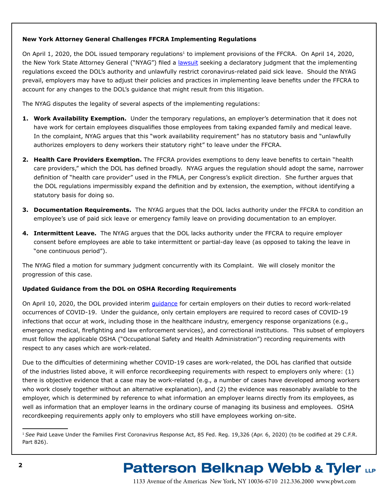#### **New York Attorney General Challenges FFCRA Implementing Regulations**

On April 1, 2020, the DOL issued temporary regulations<sup>1</sup> to implement provisions of the FFCRA. On April 14, 2020, the New York State Attorney General ("NYAG") filed a [lawsuit](https://ag.ny.gov/sites/default/files/ny_v_us_dol_complaint.pdf) seeking a declaratory judgment that the implementing regulations exceed the DOL's authority and unlawfully restrict coronavirus-related paid sick leave. Should the NYAG prevail, employers may have to adjust their policies and practices in implementing leave benefits under the FFCRA to account for any changes to the DOL's guidance that might result from this litigation.

The NYAG disputes the legality of several aspects of the implementing regulations:

- **1. Work Availability Exemption.** Under the temporary regulations, an employer's determination that it does not have work for certain employees disqualifies those employees from taking expanded family and medical leave. In the complaint, NYAG argues that this "work availability requirement" has no statutory basis and "unlawfully authorizes employers to deny workers their statutory right" to leave under the FFCRA.
- **2. Health Care Providers Exemption.** The FFCRA provides exemptions to deny leave benefits to certain "health care providers," which the DOL has defined broadly. NYAG argues the regulation should adopt the same, narrower definition of "health care provider" used in the FMLA, per Congress's explicit direction. She further argues that the DOL regulations impermissibly expand the definition and by extension, the exemption, without identifying a statutory basis for doing so.
- **3. Documentation Requirements.** The NYAG argues that the DOL lacks authority under the FFCRA to condition an employee's use of paid sick leave or emergency family leave on providing documentation to an employer.
- **4. Intermittent Leave.** The NYAG argues that the DOL lacks authority under the FFCRA to require employer consent before employees are able to take intermittent or partial-day leave (as opposed to taking the leave in "one continuous period").

The NYAG filed a motion for summary judgment concurrently with its Complaint. We will closely monitor the progression of this case.

#### **Updated Guidance from the DOL on OSHA Recording Requirements**

On April 10, 2020, the DOL provided interim *[guidance](https://www.dol.gov/newsroom/releases/osha/osha20200410-2)* for certain employers on their duties to record work-related occurrences of COVID-19. Under the guidance, only certain employers are required to record cases of COVID-19 infections that occur at work, including those in the healthcare industry, emergency response organizations (e.g., emergency medical, firefighting and law enforcement services), and correctional institutions. This subset of employers must follow the applicable OSHA ("Occupational Safety and Health Administration") recording requirements with respect to any cases which are work-related.

Due to the difficulties of determining whether COVID-19 cases are work-related, the DOL has clarified that outside of the industries listed above, it will enforce recordkeeping requirements with respect to employers only where: (1) there is objective evidence that a case may be work-related (e.g., a number of cases have developed among workers who work closely together without an alternative explanation), and (2) the evidence was reasonably available to the employer, which is determined by reference to what information an employer learns directly from its employees, as well as information that an employer learns in the ordinary course of managing its business and employees. OSHA recordkeeping requirements apply only to employers who still have employees working on-site.

<sup>1</sup>*See* Paid Leave Under the Families First Coronavirus Response Act, 85 Fed. Reg. 19,326 (Apr. 6, 2020) (to be codified at 29 C.F.R. Part 826).